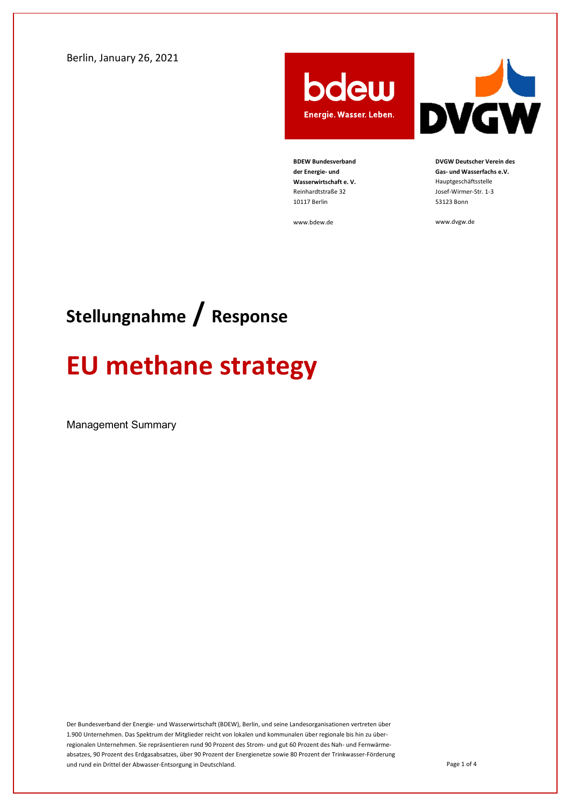Berlin, January 26, 2021

bdew Energie. Wasser. Leben.



DVGW Deutscher Verein des Gas- und Wasserfachs e.V. Hauptgeschäftsstelle Josef-Wirmer-Str. 1-3 53123 Bonn

www.dvgw.de

www.bdew.de

BDEW Bundesverband der Energie- und Wasserwirtschaft e. V. Reinhardtstraße 32 10117 Berlin

## Stellungnahme / Response

# EU methane strategy

Management Summary

Der Bundesverband der Energie- und Wasserwirtschaft (BDEW), Berlin, und seine Landesorganisationen vertreten über 1.900 Unternehmen. Das Spektrum der Mitglieder reicht von lokalen und kommunalen über regionale bis hin zu überregionalen Unternehmen. Sie repräsentieren rund 90 Prozent des Strom- und gut 60 Prozent des Nah- und Fernwärmeabsatzes, 90 Prozent des Erdgasabsatzes, über 90 Prozent der Energienetze sowie 80 Prozent der Trinkwasser-Förderung und rund ein Drittel der Abwasser-Entsorgung in Deutschland.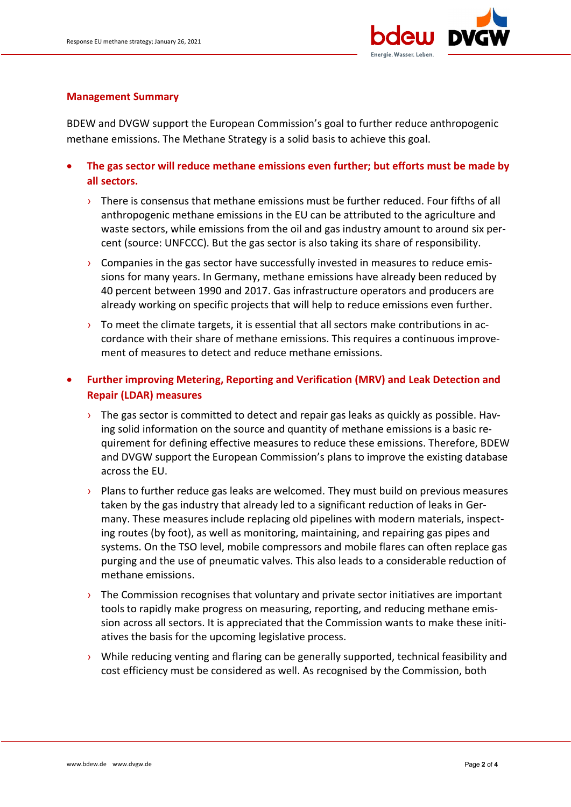

#### Management Summary

BDEW and DVGW support the European Commission's goal to further reduce anthropogenic methane emissions. The Methane Strategy is a solid basis to achieve this goal.

- The gas sector will reduce methane emissions even further; but efforts must be made by all sectors.
	- $\rightarrow$  There is consensus that methane emissions must be further reduced. Four fifths of all anthropogenic methane emissions in the EU can be attributed to the agriculture and waste sectors, while emissions from the oil and gas industry amount to around six percent (source: UNFCCC). But the gas sector is also taking its share of responsibility.
	- $\rightarrow$  Companies in the gas sector have successfully invested in measures to reduce emissions for many years. In Germany, methane emissions have already been reduced by 40 percent between 1990 and 2017. Gas infrastructure operators and producers are already working on specific projects that will help to reduce emissions even further.
	- $\rightarrow$  To meet the climate targets, it is essential that all sectors make contributions in accordance with their share of methane emissions. This requires a continuous improvement of measures to detect and reduce methane emissions.
- Further improving Metering, Reporting and Verification (MRV) and Leak Detection and Repair (LDAR) measures
	- $\rightarrow$  The gas sector is committed to detect and repair gas leaks as quickly as possible. Having solid information on the source and quantity of methane emissions is a basic requirement for defining effective measures to reduce these emissions. Therefore, BDEW and DVGW support the European Commission's plans to improve the existing database across the EU.
	- $\rightarrow$  Plans to further reduce gas leaks are welcomed. They must build on previous measures taken by the gas industry that already led to a significant reduction of leaks in Germany. These measures include replacing old pipelines with modern materials, inspecting routes (by foot), as well as monitoring, maintaining, and repairing gas pipes and systems. On the TSO level, mobile compressors and mobile flares can often replace gas purging and the use of pneumatic valves. This also leads to a considerable reduction of methane emissions.
	- $\rightarrow$  The Commission recognises that voluntary and private sector initiatives are important tools to rapidly make progress on measuring, reporting, and reducing methane emission across all sectors. It is appreciated that the Commission wants to make these initiatives the basis for the upcoming legislative process.
	- $\rightarrow$  While reducing venting and flaring can be generally supported, technical feasibility and cost efficiency must be considered as well. As recognised by the Commission, both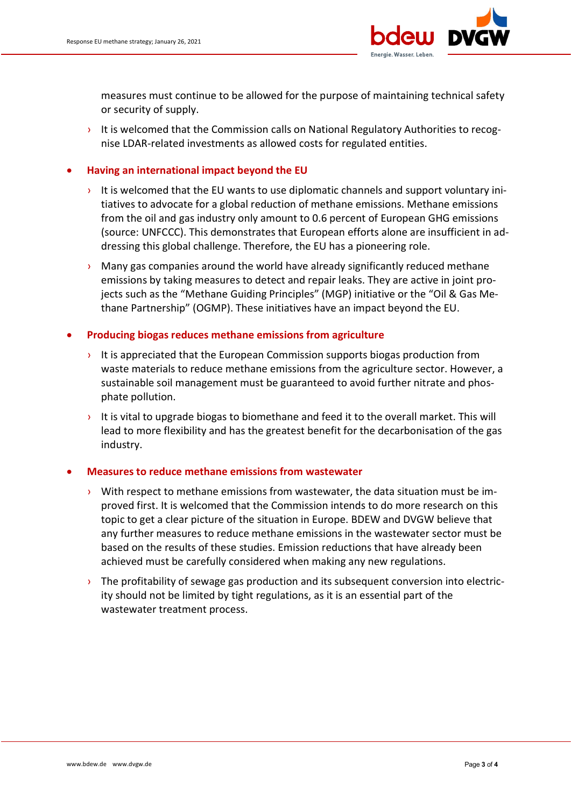

measures must continue to be allowed for the purpose of maintaining technical safety or security of supply.

It is welcomed that the Commission calls on National Regulatory Authorities to recognise LDAR-related investments as allowed costs for regulated entities.

### Having an international impact beyond the EU

- It is welcomed that the EU wants to use diplomatic channels and support voluntary initiatives to advocate for a global reduction of methane emissions. Methane emissions from the oil and gas industry only amount to 0.6 percent of European GHG emissions (source: UNFCCC). This demonstrates that European efforts alone are insufficient in addressing this global challenge. Therefore, the EU has a pioneering role.
- $\rightarrow$  Many gas companies around the world have already significantly reduced methane emissions by taking measures to detect and repair leaks. They are active in joint projects such as the "Methane Guiding Principles" (MGP) initiative or the "Oil & Gas Methane Partnership" (OGMP). These initiatives have an impact beyond the EU.

#### Producing biogas reduces methane emissions from agriculture

- It is appreciated that the European Commission supports biogas production from waste materials to reduce methane emissions from the agriculture sector. However, a sustainable soil management must be guaranteed to avoid further nitrate and phosphate pollution.
- It is vital to upgrade biogas to biomethane and feed it to the overall market. This will lead to more flexibility and has the greatest benefit for the decarbonisation of the gas industry.

#### Measures to reduce methane emissions from wastewater

- $\rightarrow$  With respect to methane emissions from wastewater, the data situation must be improved first. It is welcomed that the Commission intends to do more research on this topic to get a clear picture of the situation in Europe. BDEW and DVGW believe that any further measures to reduce methane emissions in the wastewater sector must be based on the results of these studies. Emission reductions that have already been achieved must be carefully considered when making any new regulations.
- $\rightarrow$  The profitability of sewage gas production and its subsequent conversion into electricity should not be limited by tight regulations, as it is an essential part of the wastewater treatment process.